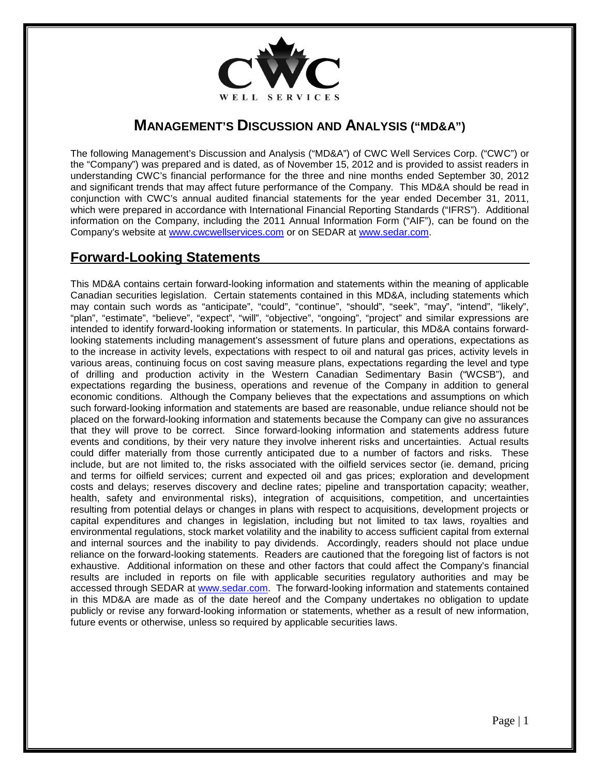

## **MANAGEMENT'S DISCUSSION AND ANALYSIS ("MD&A")**

The following Management's Discussion and Analysis ("MD&A") of CWC Well Services Corp. ("CWC") or the "Company") was prepared and is dated, as of November 15, 2012 and is provided to assist readers in understanding CWC's financial performance for the three and nine months ended September 30, 2012 and significant trends that may affect future performance of the Company. This MD&A should be read in conjunction with CWC's annual audited financial statements for the year ended December 31, 2011, which were prepared in accordance with International Financial Reporting Standards ("IFRS"). Additional information on the Company, including the 2011 Annual Information Form ("AIF"), can be found on the Company's website at [www.cwcwellservices.com](http://www.cwcwellservices.com/) or on SEDAR at [www.sedar.com.](http://www.sedar.com/)

## **Forward-Looking Statements**

This MD&A contains certain forward-looking information and statements within the meaning of applicable Canadian securities legislation. Certain statements contained in this MD&A, including statements which may contain such words as "anticipate", "could", "continue", "should", "seek", "may", "intend", "likely", "plan", "estimate", "believe", "expect", "will", "objective", "ongoing", "project" and similar expressions are intended to identify forward-looking information or statements. In particular, this MD&A contains forwardlooking statements including management's assessment of future plans and operations, expectations as to the increase in activity levels, expectations with respect to oil and natural gas prices, activity levels in various areas, continuing focus on cost saving measure plans, expectations regarding the level and type of drilling and production activity in the Western Canadian Sedimentary Basin ("WCSB"), and expectations regarding the business, operations and revenue of the Company in addition to general economic conditions. Although the Company believes that the expectations and assumptions on which such forward-looking information and statements are based are reasonable, undue reliance should not be placed on the forward-looking information and statements because the Company can give no assurances that they will prove to be correct. Since forward-looking information and statements address future events and conditions, by their very nature they involve inherent risks and uncertainties. Actual results could differ materially from those currently anticipated due to a number of factors and risks. These include, but are not limited to, the risks associated with the oilfield services sector (ie. demand, pricing and terms for oilfield services; current and expected oil and gas prices; exploration and development costs and delays; reserves discovery and decline rates; pipeline and transportation capacity; weather, health, safety and environmental risks), integration of acquisitions, competition, and uncertainties resulting from potential delays or changes in plans with respect to acquisitions, development projects or capital expenditures and changes in legislation, including but not limited to tax laws, royalties and environmental regulations, stock market volatility and the inability to access sufficient capital from external and internal sources and the inability to pay dividends. Accordingly, readers should not place undue reliance on the forward-looking statements. Readers are cautioned that the foregoing list of factors is not exhaustive. Additional information on these and other factors that could affect the Company's financial results are included in reports on file with applicable securities regulatory authorities and may be accessed through SEDAR at [www.sedar.com.](http://www.sedar.com/) The forward-looking information and statements contained in this MD&A are made as of the date hereof and the Company undertakes no obligation to update publicly or revise any forward-looking information or statements, whether as a result of new information, future events or otherwise, unless so required by applicable securities laws.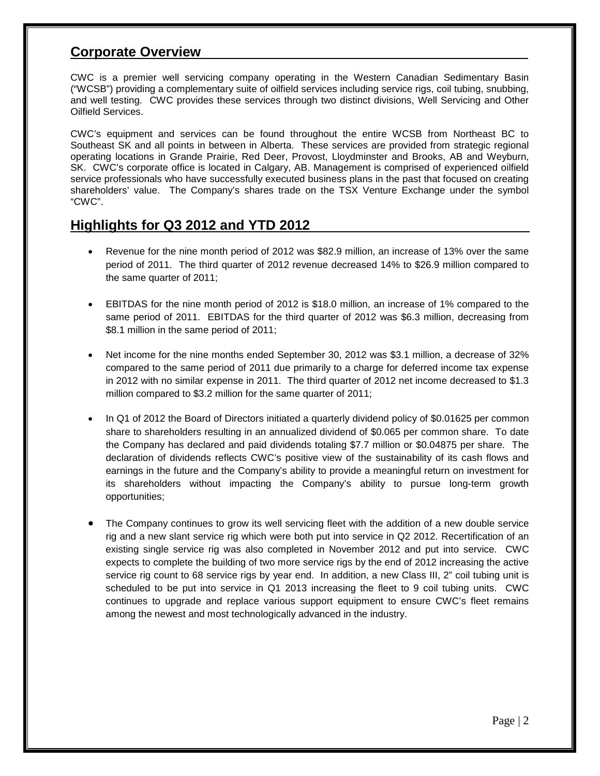## **Corporate Overview**

CWC is a premier well servicing company operating in the Western Canadian Sedimentary Basin ("WCSB") providing a complementary suite of oilfield services including service rigs, coil tubing, snubbing, and well testing. CWC provides these services through two distinct divisions, Well Servicing and Other Oilfield Services.

CWC's equipment and services can be found throughout the entire WCSB from Northeast BC to Southeast SK and all points in between in Alberta. These services are provided from strategic regional operating locations in Grande Prairie, Red Deer, Provost, Lloydminster and Brooks, AB and Weyburn, SK. CWC's corporate office is located in Calgary, AB. Management is comprised of experienced oilfield service professionals who have successfully executed business plans in the past that focused on creating shareholders' value. The Company's shares trade on the TSX Venture Exchange under the symbol "CWC".

## **Highlights for Q3 2012 and YTD 2012**

- Revenue for the nine month period of 2012 was \$82.9 million, an increase of 13% over the same period of 2011. The third quarter of 2012 revenue decreased 14% to \$26.9 million compared to the same quarter of 2011;
- EBITDAS for the nine month period of 2012 is \$18.0 million, an increase of 1% compared to the same period of 2011. EBITDAS for the third quarter of 2012 was \$6.3 million, decreasing from \$8.1 million in the same period of 2011;
- Net income for the nine months ended September 30, 2012 was \$3.1 million, a decrease of 32% compared to the same period of 2011 due primarily to a charge for deferred income tax expense in 2012 with no similar expense in 2011. The third quarter of 2012 net income decreased to \$1.3 million compared to \$3.2 million for the same quarter of 2011;
- In Q1 of 2012 the Board of Directors initiated a quarterly dividend policy of \$0.01625 per common share to shareholders resulting in an annualized dividend of \$0.065 per common share. To date the Company has declared and paid dividends totaling \$7.7 million or \$0.04875 per share. The declaration of dividends reflects CWC's positive view of the sustainability of its cash flows and earnings in the future and the Company's ability to provide a meaningful return on investment for its shareholders without impacting the Company's ability to pursue long-term growth opportunities;
- The Company continues to grow its well servicing fleet with the addition of a new double service rig and a new slant service rig which were both put into service in Q2 2012. Recertification of an existing single service rig was also completed in November 2012 and put into service. CWC expects to complete the building of two more service rigs by the end of 2012 increasing the active service rig count to 68 service rigs by year end. In addition, a new Class III, 2" coil tubing unit is scheduled to be put into service in Q1 2013 increasing the fleet to 9 coil tubing units. CWC continues to upgrade and replace various support equipment to ensure CWC's fleet remains among the newest and most technologically advanced in the industry.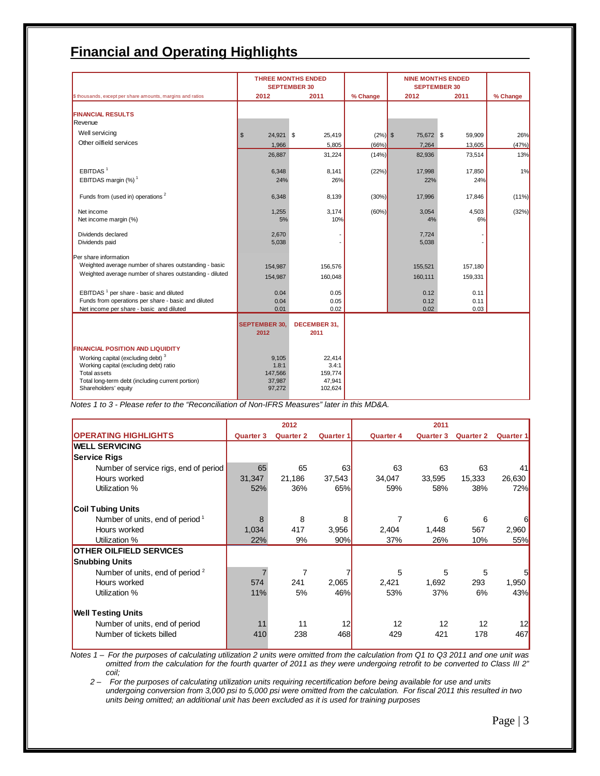# **Financial and Operating Highlights**

|                                                                          | <b>THREE MONTHS ENDED</b><br><b>SEPTEMBER 30</b> |                             |           | <b>NINE MONTHS ENDED</b><br><b>SEPTEMBER 30</b> |         |          |
|--------------------------------------------------------------------------|--------------------------------------------------|-----------------------------|-----------|-------------------------------------------------|---------|----------|
| \$ thousands, except per share amounts, margins and ratios               | 2012                                             | 2011                        | % Change  | 2012                                            | 2011    | % Change |
|                                                                          |                                                  |                             |           |                                                 |         |          |
| <b>FINANCIAL RESULTS</b>                                                 |                                                  |                             |           |                                                 |         |          |
| Revenue                                                                  |                                                  |                             |           |                                                 |         |          |
| Well servicing                                                           | 24,921 \$<br>\$                                  | 25,419                      | $(2%)$ \$ | 75,672 \$                                       | 59,909  | 26%      |
| Other oilfield services                                                  | 1,966                                            | 5,805                       | (66%)     | 7,264                                           | 13,605  | (47%)    |
|                                                                          | 26,887                                           | 31,224                      | (14%)     | 82,936                                          | 73,514  | 13%      |
| EBITDAS <sup>1</sup>                                                     | 6,348                                            | 8,141                       | (22%)     | 17,998                                          | 17,850  | 1%       |
| EBITDAS margin (%) <sup>1</sup>                                          | 24%                                              | 26%                         |           | 22%                                             | 24%     |          |
| Funds from (used in) operations <sup>2</sup>                             | 6,348                                            | 8,139                       | (30%)     | 17,996                                          | 17,846  | (11%)    |
| Net income                                                               | 1,255                                            | 3,174                       | (60%)     | 3,054                                           | 4,503   | (32%)    |
| Net income margin (%)                                                    | 5%                                               | 10%                         |           | 4%                                              | 6%      |          |
| Dividends declared                                                       | 2,670                                            |                             |           | 7,724                                           |         |          |
| Dividends paid                                                           | 5,038                                            |                             |           | 5,038                                           |         |          |
| Per share information                                                    |                                                  |                             |           |                                                 |         |          |
| Weighted average number of shares outstanding - basic                    | 154,987                                          | 156,576                     |           | 155,521                                         | 157,180 |          |
| Weighted average number of shares outstanding - diluted                  | 154,987                                          | 160,048                     |           | 160,111                                         | 159,331 |          |
| EBITDAS <sup>1</sup> per share - basic and diluted                       | 0.04                                             | 0.05                        |           | 0.12                                            | 0.11    |          |
| Funds from operations per share - basic and diluted                      | 0.04                                             | 0.05                        |           | 0.12                                            | 0.11    |          |
| Net income per share - basic and diluted                                 | 0.01                                             | 0.02                        |           | 0.02                                            | 0.03    |          |
|                                                                          | <b>SEPTEMBER 30,</b><br>2012                     | <b>DECEMBER 31,</b><br>2011 |           |                                                 |         |          |
| <b>FINANCIAL POSITION AND LIQUIDITY</b>                                  |                                                  |                             |           |                                                 |         |          |
| Working capital (excluding debt) <sup>3</sup>                            | 9,105                                            | 22,414                      |           |                                                 |         |          |
| Working capital (excluding debt) ratio                                   | 1.8:1                                            | 3.4:1                       |           |                                                 |         |          |
| <b>Total assets</b>                                                      | 147,566                                          | 159,774                     |           |                                                 |         |          |
| Total long-term debt (including current portion)<br>Shareholders' equity | 37,987<br>97,272                                 | 47,941<br>102,624           |           |                                                 |         |          |
|                                                                          |                                                  |                             |           |                                                 |         |          |

*Notes 1 to 3 - Please refer to the "Reconciliation of Non-IFRS Measures" later in this MD&A.* 

|                                             |                  | 2012             |                  |                  | 2011             |                  |                  |
|---------------------------------------------|------------------|------------------|------------------|------------------|------------------|------------------|------------------|
| <b>OPERATING HIGHLIGHTS</b>                 | <b>Quarter 3</b> | <b>Quarter 2</b> | <b>Quarter 1</b> | <b>Quarter 4</b> | <b>Quarter 3</b> | <b>Quarter 2</b> | <b>Quarter 1</b> |
| <b>WELL SERVICING</b>                       |                  |                  |                  |                  |                  |                  |                  |
| <b>Service Rigs</b>                         |                  |                  |                  |                  |                  |                  |                  |
| Number of service rigs, end of period       | 65               | 65               | 63               | 63               | 63               | 63               | 41               |
| Hours worked                                | 31,347           | 21,186           | 37,543           | 34,047           | 33,595           | 15,333           | 26,630           |
| Utilization %                               | 52%              | 36%              | 65%              | 59%              | 58%              | 38%              | 72%              |
| <b>Coil Tubing Units</b>                    |                  |                  |                  |                  |                  |                  |                  |
| Number of units, end of period 1            | 8                | 8                | 8                | 7                | 6                | 6                | 6                |
| Hours worked                                | 1,034            | 417              | 3,956            | 2,404            | 1,448            | 567              | 2,960            |
| Utilization %                               | 22%              | 9%               | 90%              | 37%              | 26%              | 10%              | 55%              |
| <b>OTHER OILFIELD SERVICES</b>              |                  |                  |                  |                  |                  |                  |                  |
| <b>Snubbing Units</b>                       |                  |                  |                  |                  |                  |                  |                  |
| Number of units, end of period <sup>2</sup> |                  | 7                |                  | 5                | 5                | 5                | $5 \vert$        |
| Hours worked                                | 574              | 241              | 2,065            | 2,421            | 1,692            | 293              | 1,950            |
| Utilization %                               | 11%              | 5%               | 46%              | 53%              | 37%              | 6%               | 43%              |
| <b>Well Testing Units</b>                   |                  |                  |                  |                  |                  |                  |                  |
| Number of units, end of period              | 11               | 11               | 12               | 12               | 12               | 12               | 12               |
| Number of tickets billed                    | 410              | 238              | 468              | 429              | 421              | 178              | 467              |

*Notes 1 – For the purposes of calculating utilization 2 units were omitted from the calculation from Q1 to Q3 2011 and one unit was omitted from the calculation for the fourth quarter of 2011 as they were undergoing retrofit to be converted to Class III 2" coil;* 

 *2 – For the purposes of calculating utilization units requiring recertification before being available for use and units undergoing conversion from 3,000 psi to 5,000 psi were omitted from the calculation. For fiscal 2011 this resulted in two units being omitted; an additional unit has been excluded as it is used for training purposes*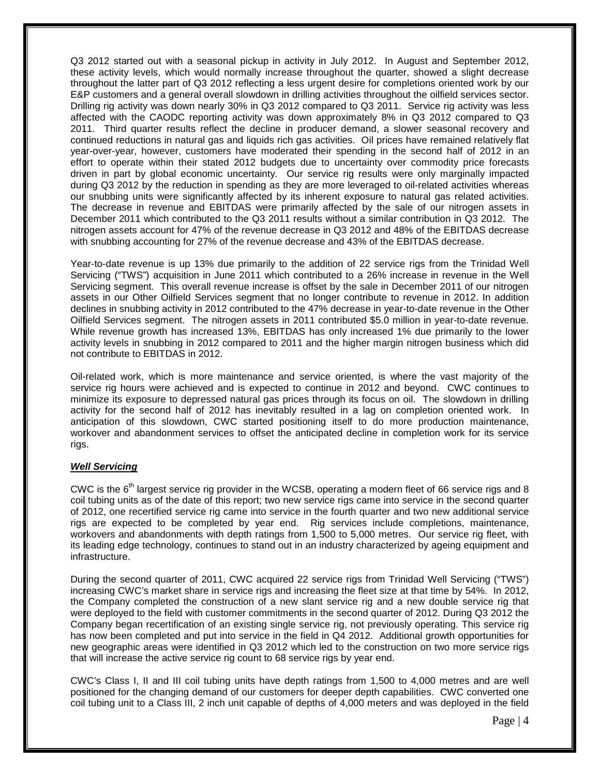Q3 2012 started out with a seasonal pickup in activity in July 2012. In August and September 2012, these activity levels, which would normally increase throughout the quarter, showed a slight decrease throughout the latter part of Q3 2012 reflecting a less urgent desire for completions oriented work by our E&P customers and a general overall slowdown in drilling activities throughout the oilfield services sector. Drilling rig activity was down nearly 30% in Q3 2012 compared to Q3 2011. Service rig activity was less affected with the CAODC reporting activity was down approximately 8% in Q3 2012 compared to Q3 2011. Third quarter results reflect the decline in producer demand, a slower seasonal recovery and continued reductions in natural gas and liquids rich gas activities. Oil prices have remained relatively flat year-over-year, however, customers have moderated their spending in the second half of 2012 in an effort to operate within their stated 2012 budgets due to uncertainty over commodity price forecasts driven in part by global economic uncertainty. Our service rig results were only marginally impacted during Q3 2012 by the reduction in spending as they are more leveraged to oil-related activities whereas our snubbing units were significantly affected by its inherent exposure to natural gas related activities. The decrease in revenue and EBITDAS were primarily affected by the sale of our nitrogen assets in December 2011 which contributed to the Q3 2011 results without a similar contribution in Q3 2012. The nitrogen assets account for 47% of the revenue decrease in Q3 2012 and 48% of the EBITDAS decrease with snubbing accounting for 27% of the revenue decrease and 43% of the EBITDAS decrease.

Year-to-date revenue is up 13% due primarily to the addition of 22 service rigs from the Trinidad Well Servicing ("TWS") acquisition in June 2011 which contributed to a 26% increase in revenue in the Well Servicing segment. This overall revenue increase is offset by the sale in December 2011 of our nitrogen assets in our Other Oilfield Services segment that no longer contribute to revenue in 2012. In addition declines in snubbing activity in 2012 contributed to the 47% decrease in year-to-date revenue in the Other Oilfield Services segment. The nitrogen assets in 2011 contributed \$5.0 million in year-to-date revenue. While revenue growth has increased 13%, EBITDAS has only increased 1% due primarily to the lower activity levels in snubbing in 2012 compared to 2011 and the higher margin nitrogen business which did not contribute to EBITDAS in 2012.

Oil-related work, which is more maintenance and service oriented, is where the vast majority of the service rig hours were achieved and is expected to continue in 2012 and beyond. CWC continues to minimize its exposure to depressed natural gas prices through its focus on oil. The slowdown in drilling activity for the second half of 2012 has inevitably resulted in a lag on completion oriented work. In anticipation of this slowdown, CWC started positioning itself to do more production maintenance, workover and abandonment services to offset the anticipated decline in completion work for its service rigs.

#### *Well Servicing*

CWC is the  $6<sup>th</sup>$  largest service rig provider in the WCSB, operating a modern fleet of 66 service rigs and 8 coil tubing units as of the date of this report; two new service rigs came into service in the second quarter of 2012, one recertified service rig came into service in the fourth quarter and two new additional service rigs are expected to be completed by year end. Rig services include completions, maintenance, workovers and abandonments with depth ratings from 1,500 to 5,000 metres. Our service rig fleet, with its leading edge technology, continues to stand out in an industry characterized by ageing equipment and infrastructure.

During the second quarter of 2011, CWC acquired 22 service rigs from Trinidad Well Servicing ("TWS") increasing CWC's market share in service rigs and increasing the fleet size at that time by 54%. In 2012, the Company completed the construction of a new slant service rig and a new double service rig that were deployed to the field with customer commitments in the second quarter of 2012. During Q3 2012 the Company began recertification of an existing single service rig, not previously operating. This service rig has now been completed and put into service in the field in Q4 2012. Additional growth opportunities for new geographic areas were identified in Q3 2012 which led to the construction on two more service rigs that will increase the active service rig count to 68 service rigs by year end.

CWC's Class I, II and III coil tubing units have depth ratings from 1,500 to 4,000 metres and are well positioned for the changing demand of our customers for deeper depth capabilities. CWC converted one coil tubing unit to a Class III, 2 inch unit capable of depths of 4,000 meters and was deployed in the field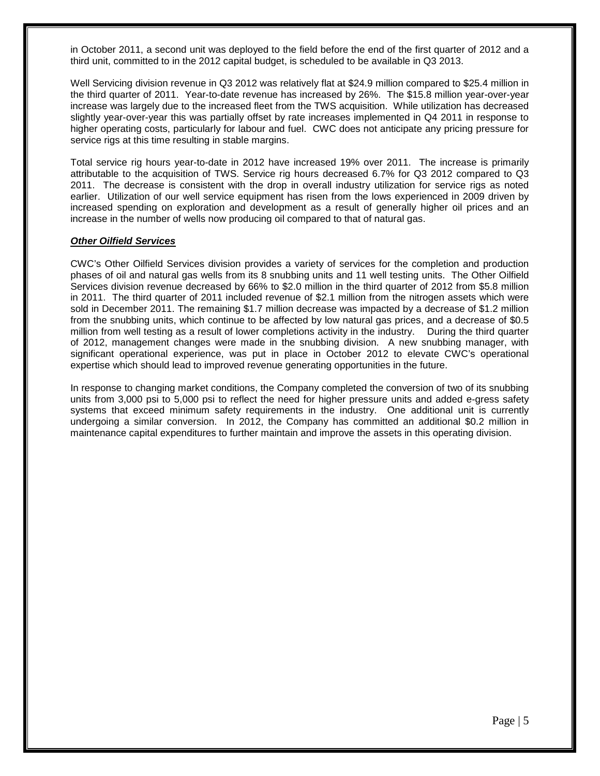in October 2011, a second unit was deployed to the field before the end of the first quarter of 2012 and a third unit, committed to in the 2012 capital budget, is scheduled to be available in Q3 2013.

Well Servicing division revenue in Q3 2012 was relatively flat at \$24.9 million compared to \$25.4 million in the third quarter of 2011. Year-to-date revenue has increased by 26%. The \$15.8 million year-over-year increase was largely due to the increased fleet from the TWS acquisition. While utilization has decreased slightly year-over-year this was partially offset by rate increases implemented in Q4 2011 in response to higher operating costs, particularly for labour and fuel. CWC does not anticipate any pricing pressure for service rigs at this time resulting in stable margins.

Total service rig hours year-to-date in 2012 have increased 19% over 2011. The increase is primarily attributable to the acquisition of TWS. Service rig hours decreased 6.7% for Q3 2012 compared to Q3 2011. The decrease is consistent with the drop in overall industry utilization for service rigs as noted earlier. Utilization of our well service equipment has risen from the lows experienced in 2009 driven by increased spending on exploration and development as a result of generally higher oil prices and an increase in the number of wells now producing oil compared to that of natural gas.

#### *Other Oilfield Services*

CWC's Other Oilfield Services division provides a variety of services for the completion and production phases of oil and natural gas wells from its 8 snubbing units and 11 well testing units. The Other Oilfield Services division revenue decreased by 66% to \$2.0 million in the third quarter of 2012 from \$5.8 million in 2011. The third quarter of 2011 included revenue of \$2.1 million from the nitrogen assets which were sold in December 2011. The remaining \$1.7 million decrease was impacted by a decrease of \$1.2 million from the snubbing units, which continue to be affected by low natural gas prices, and a decrease of \$0.5 million from well testing as a result of lower completions activity in the industry. During the third quarter of 2012, management changes were made in the snubbing division. A new snubbing manager, with significant operational experience, was put in place in October 2012 to elevate CWC's operational expertise which should lead to improved revenue generating opportunities in the future.

In response to changing market conditions, the Company completed the conversion of two of its snubbing units from 3,000 psi to 5,000 psi to reflect the need for higher pressure units and added e-gress safety systems that exceed minimum safety requirements in the industry. One additional unit is currently undergoing a similar conversion. In 2012, the Company has committed an additional \$0.2 million in maintenance capital expenditures to further maintain and improve the assets in this operating division.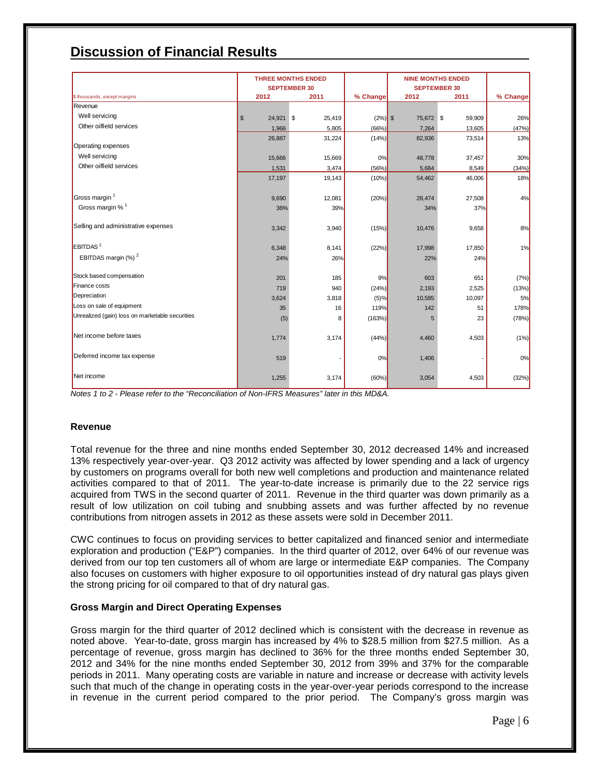# **Discussion of Financial Results**

|                                                 |                            | <b>THREE MONTHS ENDED</b>   |           |                                     | <b>NINE MONTHS ENDED</b> |          |
|-------------------------------------------------|----------------------------|-----------------------------|-----------|-------------------------------------|--------------------------|----------|
| \$ thousands, except margins                    | 2012                       | <b>SEPTEMBER 30</b><br>2011 | % Change  | <b>SEPTEMBER 30</b><br>2012<br>2011 |                          | % Change |
| Revenue                                         |                            |                             |           |                                     |                          |          |
| Well servicing                                  | 24,921 \$<br>$\sqrt[6]{3}$ | 25,419                      | $(2%)$ \$ | 75,672 \$                           | 59,909                   | 26%      |
| Other oilfield services                         | 1,966                      | 5,805                       | (66%)     | 7,264                               | 13,605                   | (47%)    |
|                                                 | 26,887                     | 31,224                      | (14%)     | 82,936                              | 73,514                   | 13%      |
| Operating expenses                              |                            |                             |           |                                     |                          |          |
| Well servicing                                  | 15,666                     | 15,669                      | 0%        | 48,778                              | 37,457                   | 30%      |
| Other oilfield services                         | 1,531                      | 3,474                       | (56%)     | 5,684                               | 8,549                    | (34%)    |
|                                                 | 17,197                     | 19,143                      | (10%)     | 54,462                              | 46,006                   | 18%      |
|                                                 |                            |                             |           |                                     |                          |          |
| Gross margin <sup>1</sup>                       | 9,690                      | 12,081                      | (20%)     | 28,474                              | 27,508                   | 4%       |
| Gross margin % <sup>1</sup>                     | 36%                        | 39%                         |           | 34%                                 | 37%                      |          |
|                                                 |                            |                             |           |                                     |                          |          |
| Selling and administrative expenses             | 3,342                      | 3,940                       | (15%)     | 10,476                              | 9.658                    | 8%       |
|                                                 |                            |                             |           |                                     |                          |          |
| EBITDAS <sup>2</sup>                            | 6,348                      | 8,141                       | (22%)     | 17,998                              | 17,850                   | 1%       |
| EBITDAS margin (%) <sup>2</sup>                 | 24%                        | 26%                         |           | 22%                                 | 24%                      |          |
|                                                 |                            |                             |           |                                     |                          |          |
| Stock based compensation                        | 201                        | 185                         | 9%        | 603                                 | 651                      | (7%)     |
| Finance costs                                   | 719                        | 940                         | (24%)     | 2,193                               | 2,525                    | (13%)    |
| Depreciation                                    | 3,624                      | 3,818                       | (5)%      | 10,595                              | 10,097                   | 5%       |
| Loss on sale of equipment                       | 35                         | 16                          | 119%      | 142                                 | 51                       | 178%     |
| Unrealized (gain) loss on marketable securities | (5)                        | 8                           | (163%)    | 5                                   | 23                       | (78%)    |
|                                                 |                            |                             |           |                                     |                          |          |
| Net income before taxes                         | 1,774                      | 3,174                       | (44%)     | 4,460                               | 4,503                    | (1% )    |
|                                                 |                            |                             |           |                                     |                          |          |
| Deferred income tax expense                     | 519                        |                             | 0%        | 1,406                               |                          | 0%       |
|                                                 |                            |                             |           |                                     |                          |          |
| Net income                                      | 1,255                      | 3,174                       | (60%)     | 3,054                               | 4,503                    | (32%)    |
|                                                 |                            |                             |           |                                     |                          |          |

*Notes 1 to 2 - Please refer to the "Reconciliation of Non-IFRS Measures" later in this MD&A.*

#### **Revenue**

Total revenue for the three and nine months ended September 30, 2012 decreased 14% and increased 13% respectively year-over-year. Q3 2012 activity was affected by lower spending and a lack of urgency by customers on programs overall for both new well completions and production and maintenance related activities compared to that of 2011. The year-to-date increase is primarily due to the 22 service rigs acquired from TWS in the second quarter of 2011. Revenue in the third quarter was down primarily as a result of low utilization on coil tubing and snubbing assets and was further affected by no revenue contributions from nitrogen assets in 2012 as these assets were sold in December 2011.

CWC continues to focus on providing services to better capitalized and financed senior and intermediate exploration and production ("E&P") companies. In the third quarter of 2012, over 64% of our revenue was derived from our top ten customers all of whom are large or intermediate E&P companies. The Company also focuses on customers with higher exposure to oil opportunities instead of dry natural gas plays given the strong pricing for oil compared to that of dry natural gas.

#### **Gross Margin and Direct Operating Expenses**

Gross margin for the third quarter of 2012 declined which is consistent with the decrease in revenue as noted above. Year-to-date, gross margin has increased by 4% to \$28.5 million from \$27.5 million. As a percentage of revenue, gross margin has declined to 36% for the three months ended September 30, 2012 and 34% for the nine months ended September 30, 2012 from 39% and 37% for the comparable periods in 2011. Many operating costs are variable in nature and increase or decrease with activity levels such that much of the change in operating costs in the year-over-year periods correspond to the increase in revenue in the current period compared to the prior period. The Company's gross margin was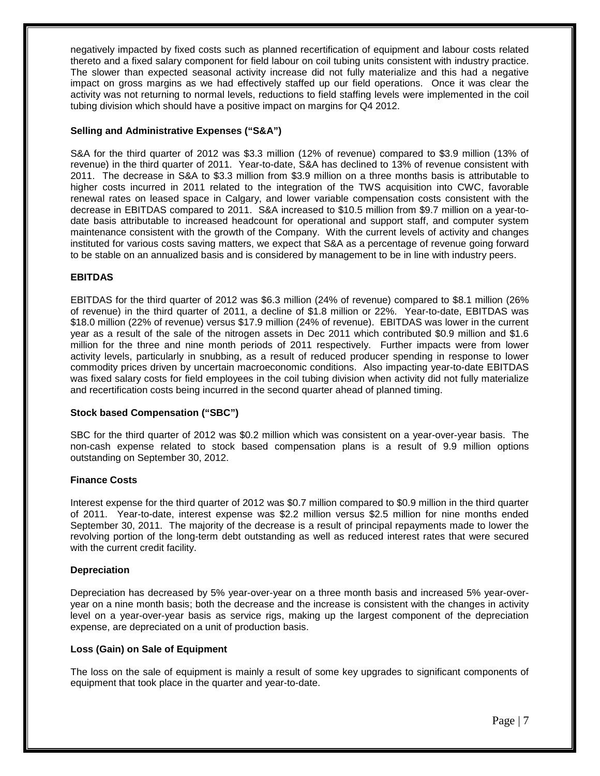negatively impacted by fixed costs such as planned recertification of equipment and labour costs related thereto and a fixed salary component for field labour on coil tubing units consistent with industry practice. The slower than expected seasonal activity increase did not fully materialize and this had a negative impact on gross margins as we had effectively staffed up our field operations. Once it was clear the activity was not returning to normal levels, reductions to field staffing levels were implemented in the coil tubing division which should have a positive impact on margins for Q4 2012.

#### **Selling and Administrative Expenses ("S&A")**

S&A for the third quarter of 2012 was \$3.3 million (12% of revenue) compared to \$3.9 million (13% of revenue) in the third quarter of 2011. Year-to-date, S&A has declined to 13% of revenue consistent with 2011. The decrease in S&A to \$3.3 million from \$3.9 million on a three months basis is attributable to higher costs incurred in 2011 related to the integration of the TWS acquisition into CWC, favorable renewal rates on leased space in Calgary, and lower variable compensation costs consistent with the decrease in EBITDAS compared to 2011. S&A increased to \$10.5 million from \$9.7 million on a year-todate basis attributable to increased headcount for operational and support staff, and computer system maintenance consistent with the growth of the Company. With the current levels of activity and changes instituted for various costs saving matters, we expect that S&A as a percentage of revenue going forward to be stable on an annualized basis and is considered by management to be in line with industry peers.

### **EBITDAS**

EBITDAS for the third quarter of 2012 was \$6.3 million (24% of revenue) compared to \$8.1 million (26% of revenue) in the third quarter of 2011, a decline of \$1.8 million or 22%. Year-to-date, EBITDAS was \$18.0 million (22% of revenue) versus \$17.9 million (24% of revenue). EBITDAS was lower in the current year as a result of the sale of the nitrogen assets in Dec 2011 which contributed \$0.9 million and \$1.6 million for the three and nine month periods of 2011 respectively. Further impacts were from lower activity levels, particularly in snubbing, as a result of reduced producer spending in response to lower commodity prices driven by uncertain macroeconomic conditions. Also impacting year-to-date EBITDAS was fixed salary costs for field employees in the coil tubing division when activity did not fully materialize and recertification costs being incurred in the second quarter ahead of planned timing.

#### **Stock based Compensation ("SBC")**

SBC for the third quarter of 2012 was \$0.2 million which was consistent on a year-over-year basis. The non-cash expense related to stock based compensation plans is a result of 9.9 million options outstanding on September 30, 2012.

#### **Finance Costs**

Interest expense for the third quarter of 2012 was \$0.7 million compared to \$0.9 million in the third quarter of 2011. Year-to-date, interest expense was \$2.2 million versus \$2.5 million for nine months ended September 30, 2011. The majority of the decrease is a result of principal repayments made to lower the revolving portion of the long-term debt outstanding as well as reduced interest rates that were secured with the current credit facility.

#### **Depreciation**

Depreciation has decreased by 5% year-over-year on a three month basis and increased 5% year-overyear on a nine month basis; both the decrease and the increase is consistent with the changes in activity level on a year-over-year basis as service rigs, making up the largest component of the depreciation expense, are depreciated on a unit of production basis.

#### **Loss (Gain) on Sale of Equipment**

The loss on the sale of equipment is mainly a result of some key upgrades to significant components of equipment that took place in the quarter and year-to-date.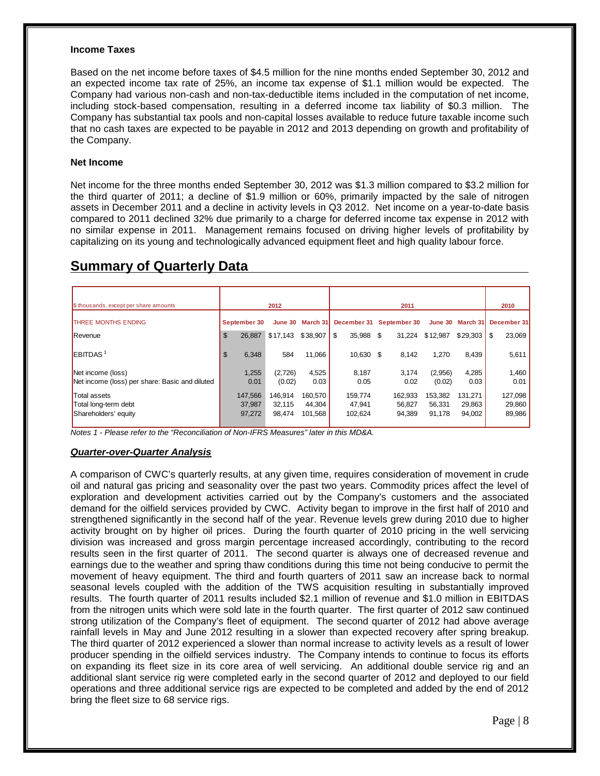#### **Income Taxes**

Based on the net income before taxes of \$4.5 million for the nine months ended September 30, 2012 and an expected income tax rate of 25%, an income tax expense of \$1.1 million would be expected. The Company had various non-cash and non-tax-deductible items included in the computation of net income, including stock-based compensation, resulting in a deferred income tax liability of \$0.3 million. The Company has substantial tax pools and non-capital losses available to reduce future taxable income such that no cash taxes are expected to be payable in 2012 and 2013 depending on growth and profitability of the Company.

#### **Net Income**

Net income for the three months ended September 30, 2012 was \$1.3 million compared to \$3.2 million for the third quarter of 2011; a decline of \$1.9 million or 60%, primarily impacted by the sale of nitrogen assets in December 2011 and a decline in activity levels in Q3 2012. Net income on a year-to-date basis compared to 2011 declined 32% due primarily to a charge for deferred income tax expense in 2012 with no similar expense in 2011. Management remains focused on driving higher levels of profitability by capitalizing on its young and technologically advanced equipment fleet and high quality labour force.

| \$ thousands, except per share amounts                              |                   | 2012                |                   |                   | 2011                     |                   |                   | 2010              |
|---------------------------------------------------------------------|-------------------|---------------------|-------------------|-------------------|--------------------------|-------------------|-------------------|-------------------|
| <b>THREE MONTHS ENDING</b>                                          | September 30      |                     | June 30 March 31  |                   | December 31 September 30 |                   | June 30 March 31  | December 31       |
| Revenue                                                             | \$<br>26,887      | $$17,143$ $$38,907$ |                   | \$<br>35,988 \$   | 31,224                   | \$12,987          | \$29,303          | \$<br>23,069      |
| $E$ BITDAS <sup>1</sup>                                             | \$<br>6,348       | 584                 | 11,066            | 10,630 \$         | 8,142                    | 1,270             | 8,439             | 5,611             |
| Net income (loss)<br>Net income (loss) per share: Basic and diluted | 1,255<br>0.01     | (2,726)<br>(0.02)   | 4,525<br>0.03     | 8,187<br>0.05     | 3,174<br>0.02            | (2,956)<br>(0.02) | 4,285<br>0.03     | 1,460<br>0.01     |
|                                                                     |                   |                     |                   |                   |                          |                   |                   |                   |
| Total assets<br>Total long-term debt                                | 147.566<br>37.987 | 146.914<br>32,115   | 160.570<br>44,304 | 159.774<br>47.941 | 162.933<br>56.827        | 153,382<br>56.331 | 131.271<br>29,863 | 127,098<br>29,860 |
| Shareholders' equity                                                | 97,272            | 98,474              | 101,568           | 102,624           | 94,389                   | 91,178            | 94,002            | 89,986            |

## **Summary of Quarterly Data**

*Notes 1 - Please refer to the "Reconciliation of Non-IFRS Measures" later in this MD&A.*

#### *Quarter-over-Quarter Analysis*

A comparison of CWC's quarterly results, at any given time, requires consideration of movement in crude oil and natural gas pricing and seasonality over the past two years. Commodity prices affect the level of exploration and development activities carried out by the Company's customers and the associated demand for the oilfield services provided by CWC. Activity began to improve in the first half of 2010 and strengthened significantly in the second half of the year. Revenue levels grew during 2010 due to higher activity brought on by higher oil prices. During the fourth quarter of 2010 pricing in the well servicing division was increased and gross margin percentage increased accordingly, contributing to the record results seen in the first quarter of 2011. The second quarter is always one of decreased revenue and earnings due to the weather and spring thaw conditions during this time not being conducive to permit the movement of heavy equipment. The third and fourth quarters of 2011 saw an increase back to normal seasonal levels coupled with the addition of the TWS acquisition resulting in substantially improved results. The fourth quarter of 2011 results included \$2.1 million of revenue and \$1.0 million in EBITDAS from the nitrogen units which were sold late in the fourth quarter. The first quarter of 2012 saw continued strong utilization of the Company's fleet of equipment. The second quarter of 2012 had above average rainfall levels in May and June 2012 resulting in a slower than expected recovery after spring breakup. The third quarter of 2012 experienced a slower than normal increase to activity levels as a result of lower producer spending in the oilfield services industry. The Company intends to continue to focus its efforts on expanding its fleet size in its core area of well servicing. An additional double service rig and an additional slant service rig were completed early in the second quarter of 2012 and deployed to our field operations and three additional service rigs are expected to be completed and added by the end of 2012 bring the fleet size to 68 service rigs.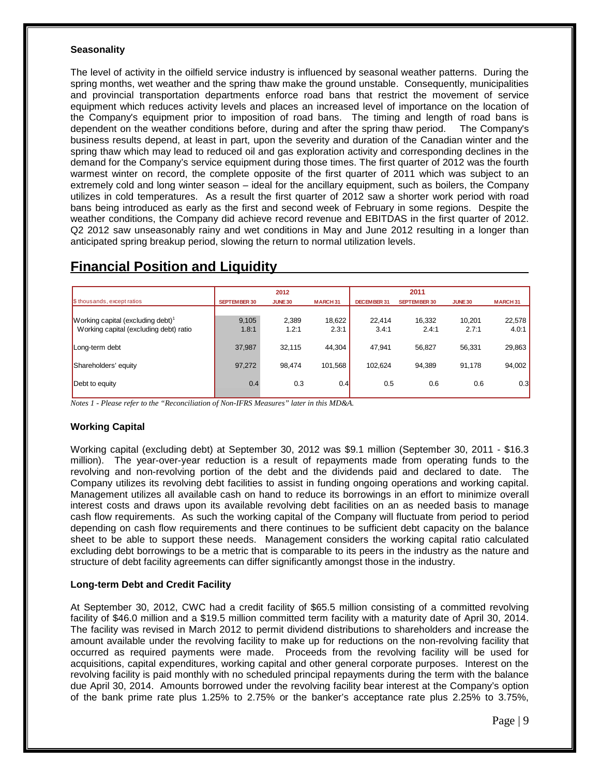#### **Seasonality**

The level of activity in the oilfield service industry is influenced by seasonal weather patterns. During the spring months, wet weather and the spring thaw make the ground unstable. Consequently, municipalities and provincial transportation departments enforce road bans that restrict the movement of service equipment which reduces activity levels and places an increased level of importance on the location of the Company's equipment prior to imposition of road bans. The timing and length of road bans is dependent on the weather conditions before, during and after the spring thaw period. The Company's business results depend, at least in part, upon the severity and duration of the Canadian winter and the spring thaw which may lead to reduced oil and gas exploration activity and corresponding declines in the demand for the Company's service equipment during those times. The first quarter of 2012 was the fourth warmest winter on record, the complete opposite of the first quarter of 2011 which was subject to an extremely cold and long winter season – ideal for the ancillary equipment, such as boilers, the Company utilizes in cold temperatures. As a result the first quarter of 2012 saw a shorter work period with road bans being introduced as early as the first and second week of February in some regions. Despite the weather conditions, the Company did achieve record revenue and EBITDAS in the first quarter of 2012. Q2 2012 saw unseasonably rainy and wet conditions in May and June 2012 resulting in a longer than anticipated spring breakup period, slowing the return to normal utilization levels.

|                                               |              | 2012           |                |             | 2011                |                |                |
|-----------------------------------------------|--------------|----------------|----------------|-------------|---------------------|----------------|----------------|
| \$ thousands, except ratios                   | SEPTEMBER 30 | <b>JUNE 30</b> | <b>MARCH31</b> | DECEMBER 31 | <b>SEPTEMBER 30</b> | <b>JUNE 30</b> | <b>MARCH31</b> |
| Working capital (excluding debt) <sup>1</sup> | 9.105        | 2,389          | 18,622         | 22.414      | 16,332              | 10.201         | 22,578         |
| Working capital (excluding debt) ratio        | 1.8:1        | 1.2:1          | 2.3:1          | 3.4:1       | 2.4:1               | 2.7:1          | 4.0:1          |
| Long-term debt                                | 37,987       | 32.115         | 44,304         | 47,941      | 56,827              | 56,331         | 29,863         |
| Shareholders' equity                          | 97,272       | 98.474         | 101,568        | 102.624     | 94.389              | 91,178         | 94,002         |
| Debt to equity                                | 0.4          | 0.3            | 0.4            | 0.5         | 0.6                 | 0.6            | 0.3            |

## **Financial Position and Liquidity**

*Notes 1 - Please refer to the "Reconciliation of Non-IFRS Measures" later in this MD&A.*

### **Working Capital**

Working capital (excluding debt) at September 30, 2012 was \$9.1 million (September 30, 2011 - \$16.3 million). The year-over-year reduction is a result of repayments made from operating funds to the revolving and non-revolving portion of the debt and the dividends paid and declared to date. The Company utilizes its revolving debt facilities to assist in funding ongoing operations and working capital. Management utilizes all available cash on hand to reduce its borrowings in an effort to minimize overall interest costs and draws upon its available revolving debt facilities on an as needed basis to manage cash flow requirements. As such the working capital of the Company will fluctuate from period to period depending on cash flow requirements and there continues to be sufficient debt capacity on the balance sheet to be able to support these needs. Management considers the working capital ratio calculated excluding debt borrowings to be a metric that is comparable to its peers in the industry as the nature and structure of debt facility agreements can differ significantly amongst those in the industry.

#### **Long-term Debt and Credit Facility**

At September 30, 2012, CWC had a credit facility of \$65.5 million consisting of a committed revolving facility of \$46.0 million and a \$19.5 million committed term facility with a maturity date of April 30, 2014. The facility was revised in March 2012 to permit dividend distributions to shareholders and increase the amount available under the revolving facility to make up for reductions on the non-revolving facility that occurred as required payments were made. Proceeds from the revolving facility will be used for acquisitions, capital expenditures, working capital and other general corporate purposes. Interest on the revolving facility is paid monthly with no scheduled principal repayments during the term with the balance due April 30, 2014. Amounts borrowed under the revolving facility bear interest at the Company's option of the bank prime rate plus 1.25% to 2.75% or the banker's acceptance rate plus 2.25% to 3.75%,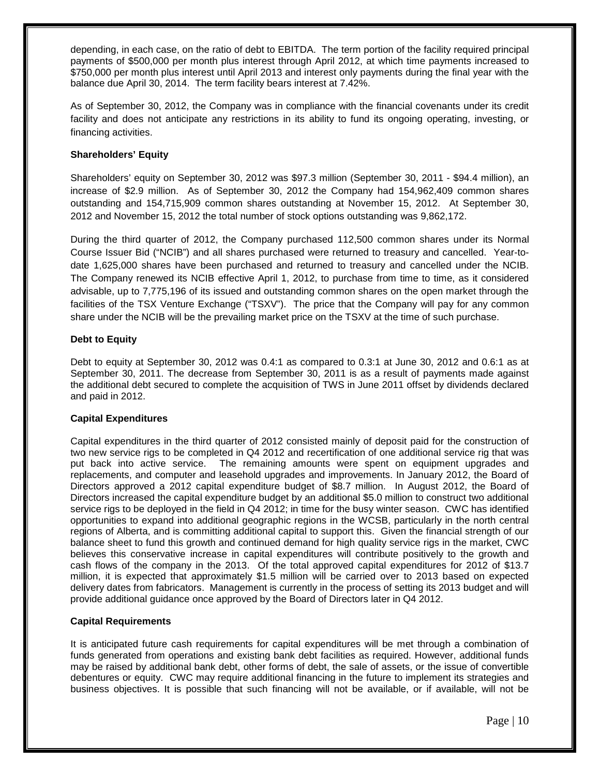depending, in each case, on the ratio of debt to EBITDA. The term portion of the facility required principal payments of \$500,000 per month plus interest through April 2012, at which time payments increased to \$750,000 per month plus interest until April 2013 and interest only payments during the final year with the balance due April 30, 2014. The term facility bears interest at 7.42%.

As of September 30, 2012, the Company was in compliance with the financial covenants under its credit facility and does not anticipate any restrictions in its ability to fund its ongoing operating, investing, or financing activities.

#### **Shareholders' Equity**

Shareholders' equity on September 30, 2012 was \$97.3 million (September 30, 2011 - \$94.4 million), an increase of \$2.9 million. As of September 30, 2012 the Company had 154,962,409 common shares outstanding and 154,715,909 common shares outstanding at November 15, 2012. At September 30, 2012 and November 15, 2012 the total number of stock options outstanding was 9,862,172.

During the third quarter of 2012, the Company purchased 112,500 common shares under its Normal Course Issuer Bid ("NCIB") and all shares purchased were returned to treasury and cancelled. Year-todate 1,625,000 shares have been purchased and returned to treasury and cancelled under the NCIB. The Company renewed its NCIB effective April 1, 2012, to purchase from time to time, as it considered advisable, up to 7,775,196 of its issued and outstanding common shares on the open market through the facilities of the TSX Venture Exchange ("TSXV"). The price that the Company will pay for any common share under the NCIB will be the prevailing market price on the TSXV at the time of such purchase.

#### **Debt to Equity**

Debt to equity at September 30, 2012 was 0.4:1 as compared to 0.3:1 at June 30, 2012 and 0.6:1 as at September 30, 2011. The decrease from September 30, 2011 is as a result of payments made against the additional debt secured to complete the acquisition of TWS in June 2011 offset by dividends declared and paid in 2012.

#### **Capital Expenditures**

Capital expenditures in the third quarter of 2012 consisted mainly of deposit paid for the construction of two new service rigs to be completed in Q4 2012 and recertification of one additional service rig that was put back into active service. The remaining amounts were spent on equipment upgrades and replacements, and computer and leasehold upgrades and improvements. In January 2012, the Board of Directors approved a 2012 capital expenditure budget of \$8.7 million. In August 2012, the Board of Directors increased the capital expenditure budget by an additional \$5.0 million to construct two additional service rigs to be deployed in the field in Q4 2012; in time for the busy winter season. CWC has identified opportunities to expand into additional geographic regions in the WCSB, particularly in the north central regions of Alberta, and is committing additional capital to support this. Given the financial strength of our balance sheet to fund this growth and continued demand for high quality service rigs in the market, CWC believes this conservative increase in capital expenditures will contribute positively to the growth and cash flows of the company in the 2013. Of the total approved capital expenditures for 2012 of \$13.7 million, it is expected that approximately \$1.5 million will be carried over to 2013 based on expected delivery dates from fabricators. Management is currently in the process of setting its 2013 budget and will provide additional guidance once approved by the Board of Directors later in Q4 2012.

#### **Capital Requirements**

It is anticipated future cash requirements for capital expenditures will be met through a combination of funds generated from operations and existing bank debt facilities as required. However, additional funds may be raised by additional bank debt, other forms of debt, the sale of assets, or the issue of convertible debentures or equity. CWC may require additional financing in the future to implement its strategies and business objectives. It is possible that such financing will not be available, or if available, will not be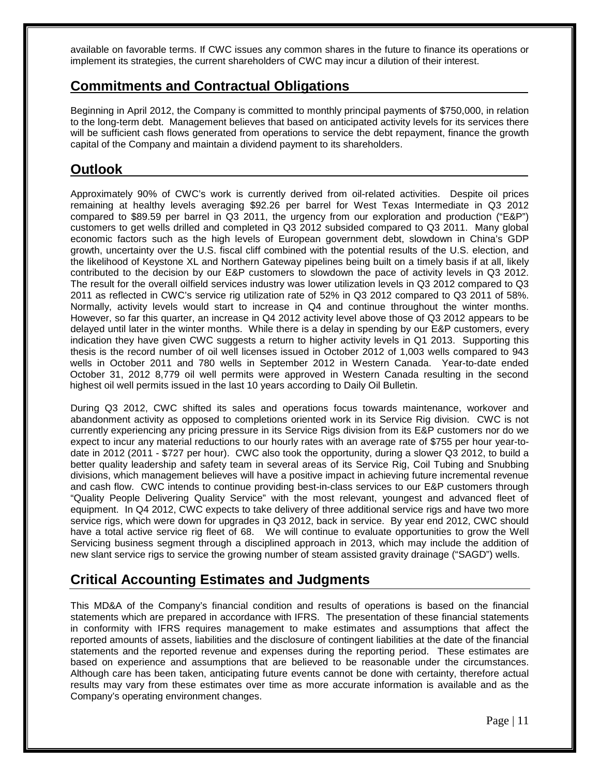available on favorable terms. If CWC issues any common shares in the future to finance its operations or implement its strategies, the current shareholders of CWC may incur a dilution of their interest.

## **Commitments and Contractual Obligations**

Beginning in April 2012, the Company is committed to monthly principal payments of \$750,000, in relation to the long-term debt. Management believes that based on anticipated activity levels for its services there will be sufficient cash flows generated from operations to service the debt repayment, finance the growth capital of the Company and maintain a dividend payment to its shareholders.

## **Outlook**

Approximately 90% of CWC's work is currently derived from oil-related activities. Despite oil prices remaining at healthy levels averaging \$92.26 per barrel for West Texas Intermediate in Q3 2012 compared to \$89.59 per barrel in Q3 2011, the urgency from our exploration and production ("E&P") customers to get wells drilled and completed in Q3 2012 subsided compared to Q3 2011. Many global economic factors such as the high levels of European government debt, slowdown in China's GDP growth, uncertainty over the U.S. fiscal cliff combined with the potential results of the U.S. election, and the likelihood of Keystone XL and Northern Gateway pipelines being built on a timely basis if at all, likely contributed to the decision by our E&P customers to slowdown the pace of activity levels in Q3 2012. The result for the overall oilfield services industry was lower utilization levels in Q3 2012 compared to Q3 2011 as reflected in CWC's service rig utilization rate of 52% in Q3 2012 compared to Q3 2011 of 58%. Normally, activity levels would start to increase in Q4 and continue throughout the winter months. However, so far this quarter, an increase in Q4 2012 activity level above those of Q3 2012 appears to be delayed until later in the winter months. While there is a delay in spending by our E&P customers, every indication they have given CWC suggests a return to higher activity levels in Q1 2013. Supporting this thesis is the record number of oil well licenses issued in October 2012 of 1,003 wells compared to 943 wells in October 2011 and 780 wells in September 2012 in Western Canada. Year-to-date ended October 31, 2012 8,779 oil well permits were approved in Western Canada resulting in the second highest oil well permits issued in the last 10 years according to Daily Oil Bulletin.

During Q3 2012, CWC shifted its sales and operations focus towards maintenance, workover and abandonment activity as opposed to completions oriented work in its Service Rig division. CWC is not currently experiencing any pricing pressure in its Service Rigs division from its E&P customers nor do we expect to incur any material reductions to our hourly rates with an average rate of \$755 per hour year-todate in 2012 (2011 - \$727 per hour). CWC also took the opportunity, during a slower Q3 2012, to build a better quality leadership and safety team in several areas of its Service Rig, Coil Tubing and Snubbing divisions, which management believes will have a positive impact in achieving future incremental revenue and cash flow. CWC intends to continue providing best-in-class services to our E&P customers through "Quality People Delivering Quality Service" with the most relevant, youngest and advanced fleet of equipment. In Q4 2012, CWC expects to take delivery of three additional service rigs and have two more service rigs, which were down for upgrades in Q3 2012, back in service. By year end 2012, CWC should have a total active service rig fleet of 68. We will continue to evaluate opportunities to grow the Well Servicing business segment through a disciplined approach in 2013, which may include the addition of new slant service rigs to service the growing number of steam assisted gravity drainage ("SAGD") wells.

## **Critical Accounting Estimates and Judgments**

This MD&A of the Company's financial condition and results of operations is based on the financial statements which are prepared in accordance with IFRS. The presentation of these financial statements in conformity with IFRS requires management to make estimates and assumptions that affect the reported amounts of assets, liabilities and the disclosure of contingent liabilities at the date of the financial statements and the reported revenue and expenses during the reporting period. These estimates are based on experience and assumptions that are believed to be reasonable under the circumstances. Although care has been taken, anticipating future events cannot be done with certainty, therefore actual results may vary from these estimates over time as more accurate information is available and as the Company's operating environment changes.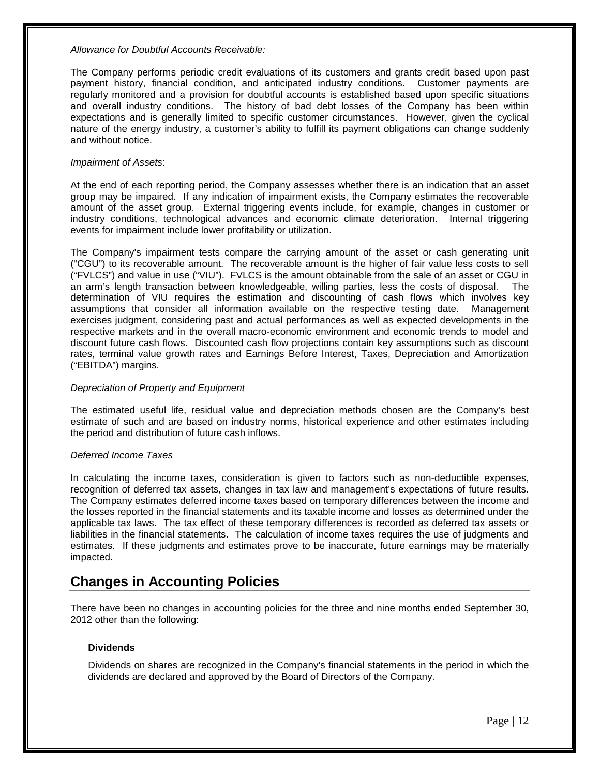#### *Allowance for Doubtful Accounts Receivable:*

The Company performs periodic credit evaluations of its customers and grants credit based upon past payment history, financial condition, and anticipated industry conditions. Customer payments are regularly monitored and a provision for doubtful accounts is established based upon specific situations and overall industry conditions. The history of bad debt losses of the Company has been within expectations and is generally limited to specific customer circumstances. However, given the cyclical nature of the energy industry, a customer's ability to fulfill its payment obligations can change suddenly and without notice.

#### *Impairment of Assets*:

At the end of each reporting period, the Company assesses whether there is an indication that an asset group may be impaired. If any indication of impairment exists, the Company estimates the recoverable amount of the asset group. External triggering events include, for example, changes in customer or industry conditions, technological advances and economic climate deterioration. Internal triggering events for impairment include lower profitability or utilization.

The Company's impairment tests compare the carrying amount of the asset or cash generating unit ("CGU") to its recoverable amount. The recoverable amount is the higher of fair value less costs to sell ("FVLCS") and value in use ("VIU"). FVLCS is the amount obtainable from the sale of an asset or CGU in an arm's length transaction between knowledgeable, willing parties, less the costs of disposal. The determination of VIU requires the estimation and discounting of cash flows which involves key assumptions that consider all information available on the respective testing date. Management exercises judgment, considering past and actual performances as well as expected developments in the respective markets and in the overall macro-economic environment and economic trends to model and discount future cash flows. Discounted cash flow projections contain key assumptions such as discount rates, terminal value growth rates and Earnings Before Interest, Taxes, Depreciation and Amortization ("EBITDA") margins.

#### *Depreciation of Property and Equipment*

The estimated useful life, residual value and depreciation methods chosen are the Company's best estimate of such and are based on industry norms, historical experience and other estimates including the period and distribution of future cash inflows.

#### *Deferred Income Taxes*

In calculating the income taxes, consideration is given to factors such as non-deductible expenses, recognition of deferred tax assets, changes in tax law and management's expectations of future results. The Company estimates deferred income taxes based on temporary differences between the income and the losses reported in the financial statements and its taxable income and losses as determined under the applicable tax laws. The tax effect of these temporary differences is recorded as deferred tax assets or liabilities in the financial statements. The calculation of income taxes requires the use of judgments and estimates. If these judgments and estimates prove to be inaccurate, future earnings may be materially impacted.

## **Changes in Accounting Policies**

There have been no changes in accounting policies for the three and nine months ended September 30, 2012 other than the following:

#### **Dividends**

Dividends on shares are recognized in the Company's financial statements in the period in which the dividends are declared and approved by the Board of Directors of the Company.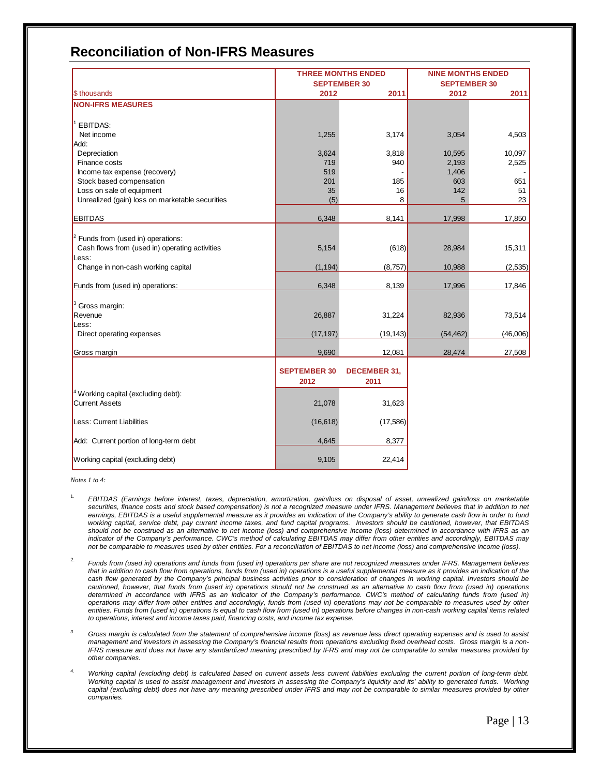## **Reconciliation of Non-IFRS Measures**

|                                                 |                     | <b>THREE MONTHS ENDED</b> | <b>NINE MONTHS ENDED</b> |          |  |  |
|-------------------------------------------------|---------------------|---------------------------|--------------------------|----------|--|--|
|                                                 |                     | <b>SEPTEMBER 30</b>       | <b>SEPTEMBER 30</b>      |          |  |  |
| \$ thousands                                    | 2012                | 2011                      | 2012                     | 2011     |  |  |
| <b>NON-IFRS MEASURES</b>                        |                     |                           |                          |          |  |  |
|                                                 |                     |                           |                          |          |  |  |
| <b>EBITDAS:</b>                                 |                     |                           |                          |          |  |  |
| Net income                                      | 1,255               | 3,174                     | 3,054                    | 4,503    |  |  |
| Add:                                            |                     |                           |                          |          |  |  |
| Depreciation                                    | 3,624               | 3,818                     | 10,595                   | 10,097   |  |  |
| Finance costs                                   | 719                 | 940                       | 2,193                    | 2,525    |  |  |
| Income tax expense (recovery)                   | 519                 |                           | 1,406                    |          |  |  |
| Stock based compensation                        | 201                 | 185                       | 603                      | 651      |  |  |
| Loss on sale of equipment                       | 35                  | 16                        | 142                      | 51       |  |  |
| Unrealized (gain) loss on marketable securities | (5)                 | 8                         | 5                        | 23       |  |  |
|                                                 |                     |                           |                          |          |  |  |
| <b>EBITDAS</b>                                  | 6,348               | 8,141                     | 17,998                   | 17,850   |  |  |
|                                                 |                     |                           |                          |          |  |  |
| $2$ Funds from (used in) operations:            |                     |                           |                          |          |  |  |
| Cash flows from (used in) operating activities  | 5,154               | (618)                     | 28,984                   | 15,311   |  |  |
| Less:                                           |                     |                           |                          |          |  |  |
| Change in non-cash working capital              | (1, 194)            | (8,757)                   | 10,988                   | (2,535)  |  |  |
|                                                 |                     |                           |                          |          |  |  |
| Funds from (used in) operations:                | 6,348               | 8,139                     | 17,996                   | 17,846   |  |  |
|                                                 |                     |                           |                          |          |  |  |
| Gross margin:<br>Revenue                        |                     |                           |                          |          |  |  |
| Less:                                           | 26,887              | 31,224                    | 82,936                   | 73,514   |  |  |
| Direct operating expenses                       | (17, 197)           | (19, 143)                 | (54, 462)                | (46,006) |  |  |
|                                                 |                     |                           |                          |          |  |  |
| Gross margin                                    | 9,690               | 12,081                    | 28,474                   | 27,508   |  |  |
|                                                 |                     |                           |                          |          |  |  |
|                                                 | <b>SEPTEMBER 30</b> | <b>DECEMBER 31,</b>       |                          |          |  |  |
|                                                 | 2012                | 2011                      |                          |          |  |  |
| <sup>4</sup> Working capital (excluding debt):  |                     |                           |                          |          |  |  |
| <b>Current Assets</b>                           | 21,078              | 31,623                    |                          |          |  |  |
|                                                 |                     |                           |                          |          |  |  |
| Less: Current Liabilities                       | (16, 618)           | (17, 586)                 |                          |          |  |  |
|                                                 |                     |                           |                          |          |  |  |
| Add: Current portion of long-term debt          | 4,645               | 8,377                     |                          |          |  |  |
| Working capital (excluding debt)                | 9,105               | 22,414                    |                          |          |  |  |
|                                                 |                     |                           |                          |          |  |  |

*Notes 1 to 4:*

- 1. *EBITDAS (Earnings before interest, taxes, depreciation, amortization, gain/loss on disposal of asset, unrealized gain/loss on marketable*  securities, finance costs and stock based compensation) is not a recognized measure under IFRS. Management believes that in addition to net *earnings, EBITDAS is a useful supplemental measure as it provides an indication of the Company's ability to generate cash flow in order to fund working capital, service debt, pay current income taxes, and fund capital programs. Investors should be cautioned, however, that EBITDAS should not be construed as an alternative to net income (loss) and comprehensive income (loss) determined in accordance with IFRS as an indicator of the Company's performance. CWC's method of calculating EBITDAS may differ from other entities and accordingly, EBITDAS may not be comparable to measures used by other entities. For a reconciliation of EBITDAS to net income (loss) and comprehensive income (loss).*
- 2. *Funds from (used in) operations and funds from (used in) operations per share are not recognized measures under IFRS. Management believes*  that in addition to cash flow from operations, funds from (used in) operations is a useful supplemental measure as it provides an indication of the cash flow generated by the Company's principal business activities prior to consideration of changes in working capital. Investors should be *cautioned, however, that funds from (used in) operations should not be construed as an alternative to cash flow from (used in) operations determined in accordance with IFRS as an indicator of the Company's performance. CWC's method of calculating funds from (used in) operations may differ from other entities and accordingly, funds from (used in) operations may not be comparable to measures used by other entities. Funds from (used in) operations is equal to cash flow from (used in) operations before changes in non-cash working capital items related to operations, interest and income taxes paid, financing costs, and income tax expense.*
- *3. Gross margin is calculated from the statement of comprehensive income (loss) as revenue less direct operating expenses and is used to assist management and investors in assessing the Company's financial results from operations excluding fixed overhead costs. Gross margin is a non-IFRS measure and does not have any standardized meaning prescribed by IFRS and may not be comparable to similar measures provided by other companies.*
- *4. Working capital (excluding debt) is calculated based on current assets less current liabilities excluding the current portion of long-term debt. Working capital is used to assist management and investors in assessing the Company's liquidity and its' ability to generated funds. Working capital (excluding debt) does not have any meaning prescribed under IFRS and may not be comparable to similar measures provided by other companies.*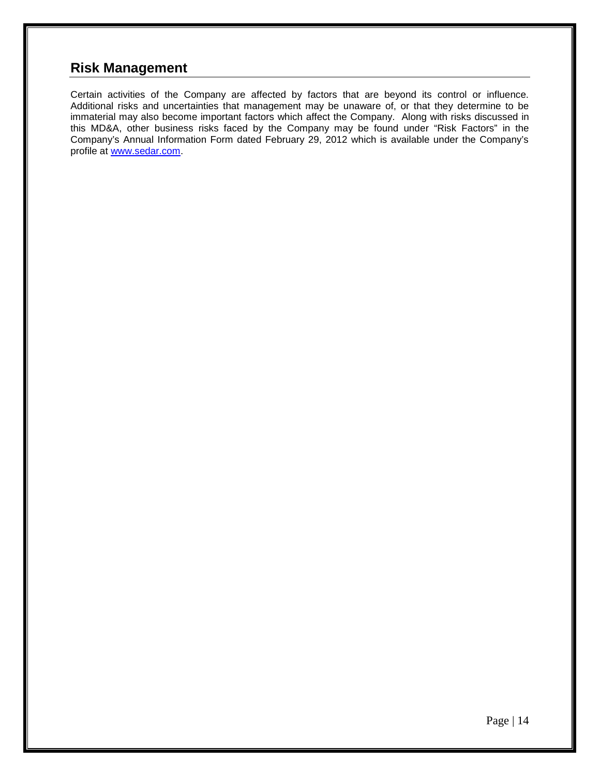## **Risk Management**

Certain activities of the Company are affected by factors that are beyond its control or influence. Additional risks and uncertainties that management may be unaware of, or that they determine to be immaterial may also become important factors which affect the Company. Along with risks discussed in this MD&A, other business risks faced by the Company may be found under "Risk Factors" in the Company's Annual Information Form dated February 29, 2012 which is available under the Company's profile at [www.sedar.com.](http://www.sedar.com/)